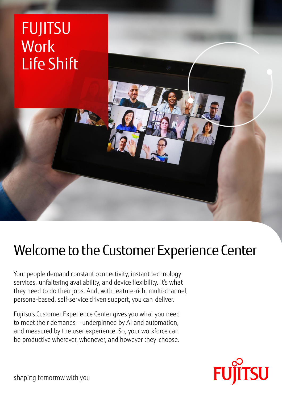

# Welcome to the Customer Experience Center

Your people demand constant connectivity, instant technology services, unfaltering availability, and device flexibility. It's what they need to do their jobs. And, with feature-rich, multi-channel, persona-based, self-service driven support, you can deliver.

Fujitsu's Customer Experience Center gives you what you need to meet their demands – underpinned by AI and automation, and measured by the user experience. So, your workforce can be productive wherever, whenever, and however they choose.



shaping tomorrow with you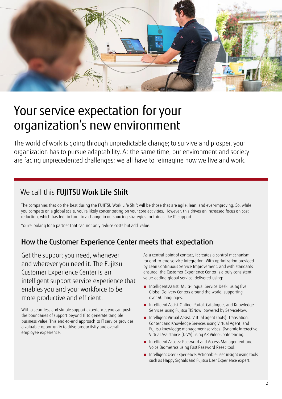

## Your service expectation for your organization's new environment

The world of work is going through unpredictable change; to survive and prosper, your organization has to pursue adaptability. At the same time, our environment and society are facing unprecedented challenges; we all have to reimagine how we live and work.

### We call this FUJITSU Work Life Shift

The companies that do the best during the FUJITSU Work Life Shift will be those that are agile, lean, and ever-improving. So, while you compete on a global scale, you're likely concentrating on your core activities. However, this drives an increased focus on cost reduction, which has led, in turn, to a change in outsourcing strategies for things like IT support.

You're looking for a partner that can not only reduce costs but add value.

### How the Customer Experience Center meets that expectation

Get the support you need, whenever and wherever you need it. The Fujitsu Customer Experience Center is an intelligent support service experience that enables you and your workforce to be more productive and efficient.

With a seamless and simple support experience, you can push the boundaries of support beyond IT to generate tangible business value. This end-to-end approach to IT service provides a valuable opportunity to drive productivity and overall employee experience.

As a central point of contact, it creates a control mechanism for end-to-end service integration. With optimization provided by Lean Continuous Service Improvement, and with standards ensured, the Customer Experience Center is a truly consistent, value-adding global service, delivered using:

- Intelligent Assist: Multi-lingual Service Desk, using five Global Delivery Centers around the world, supporting over 40 languages.
- Intelligent Assist Online: Portal, Catalogue, and Knowledge Services using Fujitsu TfSNow, powered by ServiceNow.
- Intelligent Virtual Assist: Virtual agent (bots), Translation, Content and Knowledge Services using Virtual Agent, and Fujitsu knowledge management services. Dynamic Interactive Virtual Assistance (DIVA) using AR Video Conferencing.
- Intelligent Access: Password and Access Management and Voice Biometrics using Fast Password Reset tool.
- Intelligent User Experience: Actionable user insight using tools such as Happy Signals and Fujitsu User Experience expert.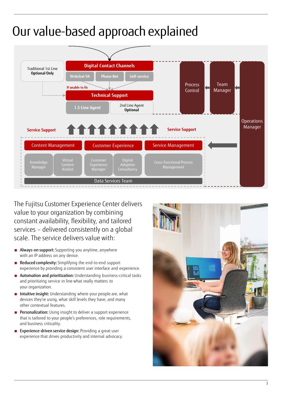## Our value-based approach explained



The Fujitsu Customer Experience Center delivers value to your organization by combining constant availability, flexibility, and tailored services – delivered consistently on a global scale. The service delivers value with:

- Always-on support: Supporting you anytime, anywhere with an IP address on any device.
- Reduced complexity: Simplifying the end-to-end support experience by providing a consistent user interface and experience.
- Automation and prioritization: Understanding business-critical tasks and prioritizing service in line what really matters to your organization.
- Intuitive insight: Understanding where your people are, what devices they're using, what skill levels they have, and many other contextual features.
- Personalization: Using insight to deliver a support experience that is tailored to your people's preferences, role requirements, and business criticality.
- Experience-driven service design: Providing a great user experience that drives productivity and internal advocacy.

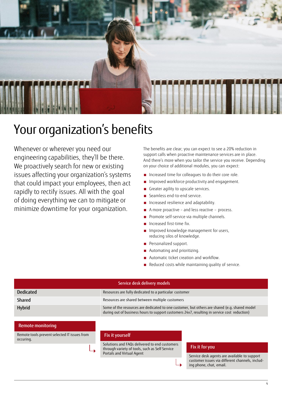

### Your organization's benefits

Whenever or wherever you need our engineering capabilities, they'll be there. We proactively search for new or existing issues affecting your organization's systems that could impact your employees, then act rapidly to rectify issues. All with the goal of doing everything we can to mitigate or minimize downtime for your organization.

The benefits are clear; you can expect to see a 20% reduction in support calls when proactive maintenance services are in place. And there's more when you tailor the service you receive. Depending on your choice of additional modules, you can expect:

- Increased time for colleagues to do their core role.
- Improved workforce productivity and engagement.
- Greater agility to upscale services.
- Seamless end-to-end service.
- Increased resilience and adaptability.
- A more proactive and less reactive process.
- Promote self-service via multiple channels.
- Increased first-time fix.
- Improved knowledge management for users, reducing silos of knowledge.
- Personalized support.
- Automating and prioritizing.
- Automatic ticket creation and workflow.
- Reduced costs while maintaining quality of service.

| Service desk delivery models |                                                                                                                                                                                               |
|------------------------------|-----------------------------------------------------------------------------------------------------------------------------------------------------------------------------------------------|
| <b>Dedicated</b>             | Resources are fully dedicated to a particular customer                                                                                                                                        |
| Shared                       | Resources are shared between multiple customers                                                                                                                                               |
| Hybrid                       | Some of the resources are dedicated to one customer, but others are shared (e.g. shared model<br>during out of business hours to support customers 24x7, resulting in service cost reduction) |

#### Remote monitoring

Remote tools prevent selected IT issues from occuring.

#### Fix it yourself

Solutions and FAQs delivered to end customers through variety of tools, such as Self Service Portals and Virtual Agent

#### Fix it for you

Service desk agents are available to support customer issues via different channels, including phone, chat, email.